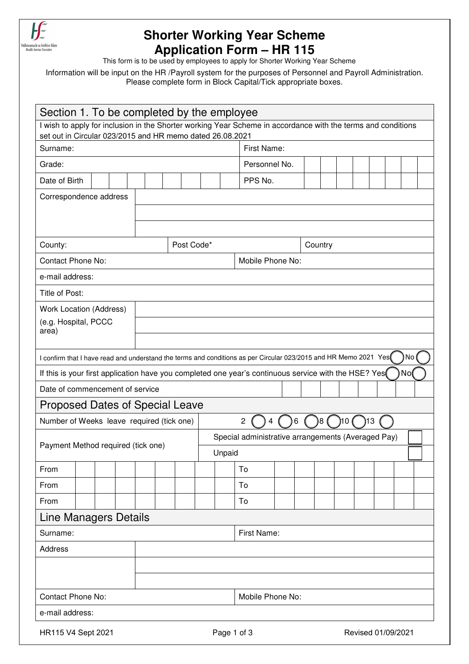

## **Shorter Working Year Scheme Application Form – HR 115**

This form is to be used by employees to apply for Shorter Working Year Scheme

Information will be input on the HR /Payroll system for the purposes of Personnel and Payroll Administration. Please complete form in Block Capital/Tick appropriate boxes.

| Section 1. To be completed by the employee                                                                                                                                |  |  |  |  |                  |                                                    |                                   |                  |         |    |  |  |  |  |  |  |  |  |  |  |  |
|---------------------------------------------------------------------------------------------------------------------------------------------------------------------------|--|--|--|--|------------------|----------------------------------------------------|-----------------------------------|------------------|---------|----|--|--|--|--|--|--|--|--|--|--|--|
| I wish to apply for inclusion in the Shorter working Year Scheme in accordance with the terms and conditions<br>set out in Circular 023/2015 and HR memo dated 26.08.2021 |  |  |  |  |                  |                                                    |                                   |                  |         |    |  |  |  |  |  |  |  |  |  |  |  |
| Surname:                                                                                                                                                                  |  |  |  |  |                  |                                                    |                                   | First Name:      |         |    |  |  |  |  |  |  |  |  |  |  |  |
| Grade:                                                                                                                                                                    |  |  |  |  |                  |                                                    |                                   | Personnel No.    |         |    |  |  |  |  |  |  |  |  |  |  |  |
| Date of Birth                                                                                                                                                             |  |  |  |  |                  |                                                    |                                   |                  | PPS No. |    |  |  |  |  |  |  |  |  |  |  |  |
| Correspondence address                                                                                                                                                    |  |  |  |  |                  |                                                    |                                   |                  |         |    |  |  |  |  |  |  |  |  |  |  |  |
|                                                                                                                                                                           |  |  |  |  |                  |                                                    |                                   |                  |         |    |  |  |  |  |  |  |  |  |  |  |  |
|                                                                                                                                                                           |  |  |  |  |                  |                                                    |                                   |                  |         |    |  |  |  |  |  |  |  |  |  |  |  |
| County:                                                                                                                                                                   |  |  |  |  | Post Code*       |                                                    |                                   |                  | Country |    |  |  |  |  |  |  |  |  |  |  |  |
| <b>Contact Phone No:</b>                                                                                                                                                  |  |  |  |  | Mobile Phone No: |                                                    |                                   |                  |         |    |  |  |  |  |  |  |  |  |  |  |  |
| e-mail address:                                                                                                                                                           |  |  |  |  |                  |                                                    |                                   |                  |         |    |  |  |  |  |  |  |  |  |  |  |  |
| Title of Post:                                                                                                                                                            |  |  |  |  |                  |                                                    |                                   |                  |         |    |  |  |  |  |  |  |  |  |  |  |  |
| <b>Work Location (Address)</b>                                                                                                                                            |  |  |  |  |                  |                                                    |                                   |                  |         |    |  |  |  |  |  |  |  |  |  |  |  |
| (e.g. Hospital, PCCC<br>area)                                                                                                                                             |  |  |  |  |                  |                                                    |                                   |                  |         |    |  |  |  |  |  |  |  |  |  |  |  |
|                                                                                                                                                                           |  |  |  |  |                  |                                                    |                                   |                  |         |    |  |  |  |  |  |  |  |  |  |  |  |
| No<br>I confirm that I have read and understand the terms and conditions as per Circular 023/2015 and HR Memo 2021 Yes                                                    |  |  |  |  |                  |                                                    |                                   |                  |         |    |  |  |  |  |  |  |  |  |  |  |  |
| No(<br>If this is your first application have you completed one year's continuous service with the HSE? Yes                                                               |  |  |  |  |                  |                                                    |                                   |                  |         |    |  |  |  |  |  |  |  |  |  |  |  |
| Date of commencement of service                                                                                                                                           |  |  |  |  |                  |                                                    |                                   |                  |         |    |  |  |  |  |  |  |  |  |  |  |  |
| <b>Proposed Dates of Special Leave</b>                                                                                                                                    |  |  |  |  |                  |                                                    |                                   |                  |         |    |  |  |  |  |  |  |  |  |  |  |  |
| Number of Weeks leave required (tick one)<br>2<br>8<br>)10<br>)13<br>6                                                                                                    |  |  |  |  |                  |                                                    |                                   |                  |         |    |  |  |  |  |  |  |  |  |  |  |  |
| Payment Method required (tick one)                                                                                                                                        |  |  |  |  |                  | Special administrative arrangements (Averaged Pay) |                                   |                  |         |    |  |  |  |  |  |  |  |  |  |  |  |
|                                                                                                                                                                           |  |  |  |  | Unpaid           |                                                    |                                   |                  |         |    |  |  |  |  |  |  |  |  |  |  |  |
| From                                                                                                                                                                      |  |  |  |  |                  |                                                    |                                   |                  |         | To |  |  |  |  |  |  |  |  |  |  |  |
| From                                                                                                                                                                      |  |  |  |  |                  |                                                    |                                   |                  |         | To |  |  |  |  |  |  |  |  |  |  |  |
| From                                                                                                                                                                      |  |  |  |  |                  |                                                    |                                   |                  |         | To |  |  |  |  |  |  |  |  |  |  |  |
| <b>Line Managers Details</b>                                                                                                                                              |  |  |  |  |                  |                                                    |                                   |                  |         |    |  |  |  |  |  |  |  |  |  |  |  |
| Surname:                                                                                                                                                                  |  |  |  |  |                  | First Name:                                        |                                   |                  |         |    |  |  |  |  |  |  |  |  |  |  |  |
| <b>Address</b>                                                                                                                                                            |  |  |  |  |                  |                                                    |                                   |                  |         |    |  |  |  |  |  |  |  |  |  |  |  |
|                                                                                                                                                                           |  |  |  |  |                  |                                                    |                                   |                  |         |    |  |  |  |  |  |  |  |  |  |  |  |
|                                                                                                                                                                           |  |  |  |  |                  |                                                    |                                   |                  |         |    |  |  |  |  |  |  |  |  |  |  |  |
| <b>Contact Phone No:</b>                                                                                                                                                  |  |  |  |  |                  |                                                    |                                   | Mobile Phone No: |         |    |  |  |  |  |  |  |  |  |  |  |  |
| e-mail address:                                                                                                                                                           |  |  |  |  |                  |                                                    |                                   |                  |         |    |  |  |  |  |  |  |  |  |  |  |  |
| HR115 V4 Sept 2021                                                                                                                                                        |  |  |  |  |                  |                                                    | Page 1 of 3<br>Revised 01/09/2021 |                  |         |    |  |  |  |  |  |  |  |  |  |  |  |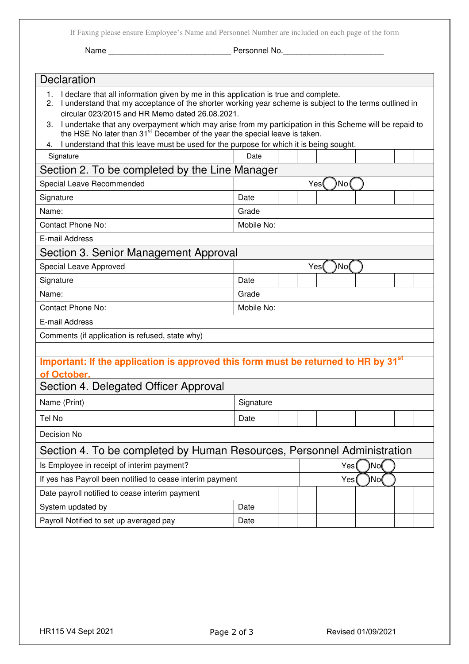If Faxing please ensure Employee's Name and Personnel Number are included on each page of the form

Name \_\_\_\_\_\_\_\_\_\_\_\_\_\_\_\_\_\_\_\_\_\_\_\_\_\_\_\_ Personnel No.\_\_\_\_\_\_\_\_\_\_\_\_\_\_\_\_\_\_\_\_\_\_\_

| Declaration                                                                                                                                                                                                                                                   |                                                |  |     |  |     |  |  |  |  |  |  |  |  |  |
|---------------------------------------------------------------------------------------------------------------------------------------------------------------------------------------------------------------------------------------------------------------|------------------------------------------------|--|-----|--|-----|--|--|--|--|--|--|--|--|--|
| I declare that all information given by me in this application is true and complete.<br>1.<br>I understand that my acceptance of the shorter working year scheme is subject to the terms outlined in<br>2.<br>circular 023/2015 and HR Memo dated 26.08.2021. |                                                |  |     |  |     |  |  |  |  |  |  |  |  |  |
| 3. I undertake that any overpayment which may arise from my participation in this Scheme will be repaid to<br>the HSE No later than 31 <sup>st</sup> December of the year the special leave is taken.                                                         |                                                |  |     |  |     |  |  |  |  |  |  |  |  |  |
| I understand that this leave must be used for the purpose for which it is being sought.<br>4.                                                                                                                                                                 |                                                |  |     |  |     |  |  |  |  |  |  |  |  |  |
| Signature                                                                                                                                                                                                                                                     | Date                                           |  |     |  |     |  |  |  |  |  |  |  |  |  |
|                                                                                                                                                                                                                                                               | Section 2. To be completed by the Line Manager |  |     |  |     |  |  |  |  |  |  |  |  |  |
| Special Leave Recommended                                                                                                                                                                                                                                     | No<br>Yes                                      |  |     |  |     |  |  |  |  |  |  |  |  |  |
| Signature                                                                                                                                                                                                                                                     | Date                                           |  |     |  |     |  |  |  |  |  |  |  |  |  |
| Name:                                                                                                                                                                                                                                                         | Grade                                          |  |     |  |     |  |  |  |  |  |  |  |  |  |
| <b>Contact Phone No:</b>                                                                                                                                                                                                                                      | Mobile No:                                     |  |     |  |     |  |  |  |  |  |  |  |  |  |
| E-mail Address                                                                                                                                                                                                                                                |                                                |  |     |  |     |  |  |  |  |  |  |  |  |  |
| Section 3. Senior Management Approval                                                                                                                                                                                                                         |                                                |  |     |  |     |  |  |  |  |  |  |  |  |  |
| Special Leave Approved                                                                                                                                                                                                                                        |                                                |  | Yes |  | No( |  |  |  |  |  |  |  |  |  |
| Signature                                                                                                                                                                                                                                                     | Date                                           |  |     |  |     |  |  |  |  |  |  |  |  |  |
| Name:                                                                                                                                                                                                                                                         | Grade                                          |  |     |  |     |  |  |  |  |  |  |  |  |  |
| <b>Contact Phone No:</b>                                                                                                                                                                                                                                      | Mobile No:                                     |  |     |  |     |  |  |  |  |  |  |  |  |  |
| E-mail Address                                                                                                                                                                                                                                                |                                                |  |     |  |     |  |  |  |  |  |  |  |  |  |
| Comments (if application is refused, state why)                                                                                                                                                                                                               |                                                |  |     |  |     |  |  |  |  |  |  |  |  |  |
|                                                                                                                                                                                                                                                               |                                                |  |     |  |     |  |  |  |  |  |  |  |  |  |
| Important: If the application is approved this form must be returned to HR by 31 <sup>st</sup>                                                                                                                                                                |                                                |  |     |  |     |  |  |  |  |  |  |  |  |  |
| of October.                                                                                                                                                                                                                                                   |                                                |  |     |  |     |  |  |  |  |  |  |  |  |  |
| Section 4. Delegated Officer Approval                                                                                                                                                                                                                         |                                                |  |     |  |     |  |  |  |  |  |  |  |  |  |
| Name (Print)                                                                                                                                                                                                                                                  | Signature                                      |  |     |  |     |  |  |  |  |  |  |  |  |  |
| Tel No                                                                                                                                                                                                                                                        | Date                                           |  |     |  |     |  |  |  |  |  |  |  |  |  |
| Decision No                                                                                                                                                                                                                                                   |                                                |  |     |  |     |  |  |  |  |  |  |  |  |  |
| Section 4. To be completed by Human Resources, Personnel Administration                                                                                                                                                                                       |                                                |  |     |  |     |  |  |  |  |  |  |  |  |  |
| Is Employee in receipt of interim payment?<br>۱No<br>Yes(                                                                                                                                                                                                     |                                                |  |     |  |     |  |  |  |  |  |  |  |  |  |
| If yes has Payroll been notified to cease interim payment                                                                                                                                                                                                     |                                                |  | Yes |  | No  |  |  |  |  |  |  |  |  |  |
| Date payroll notified to cease interim payment                                                                                                                                                                                                                |                                                |  |     |  |     |  |  |  |  |  |  |  |  |  |
| System updated by                                                                                                                                                                                                                                             | Date                                           |  |     |  |     |  |  |  |  |  |  |  |  |  |
| Payroll Notified to set up averaged pay                                                                                                                                                                                                                       | Date                                           |  |     |  |     |  |  |  |  |  |  |  |  |  |